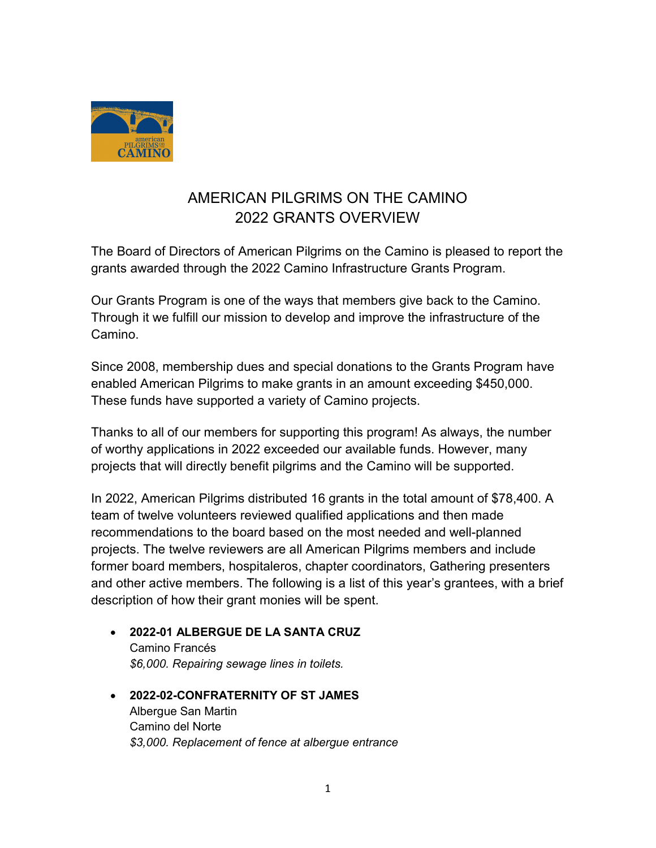

# AMERICAN PILGRIMS ON THE CAMINO 2022 GRANTS OVERVIEW

The Board of Directors of American Pilgrims on the Camino is pleased to report the grants awarded through the 2022 Camino Infrastructure Grants Program.

Our Grants Program is one of the ways that members give back to the Camino. Through it we fulfill our mission to develop and improve the infrastructure of the Camino.

Since 2008, membership dues and special donations to the Grants Program have enabled American Pilgrims to make grants in an amount exceeding \$450,000. These funds have supported a variety of Camino projects.

Thanks to all of our members for supporting this program! As always, the number of worthy applications in 2022 exceeded our available funds. However, many projects that will directly benefit pilgrims and the Camino will be supported.

In 2022, American Pilgrims distributed 16 grants in the total amount of \$78,400. A team of twelve volunteers reviewed qualified applications and then made recommendations to the board based on the most needed and well-planned projects. The twelve reviewers are all American Pilgrims members and include former board members, hospitaleros, chapter coordinators, Gathering presenters and other active members. The following is a list of this year's grantees, with a brief description of how their grant monies will be spent.

- 2022-01 ALBERGUE DE LA SANTA CRUZ Camino Francés \$6,000. Repairing sewage lines in toilets.
- 2022-02-CONFRATERNITY OF ST JAMES Albergue San Martin Camino del Norte \$3,000. Replacement of fence at albergue entrance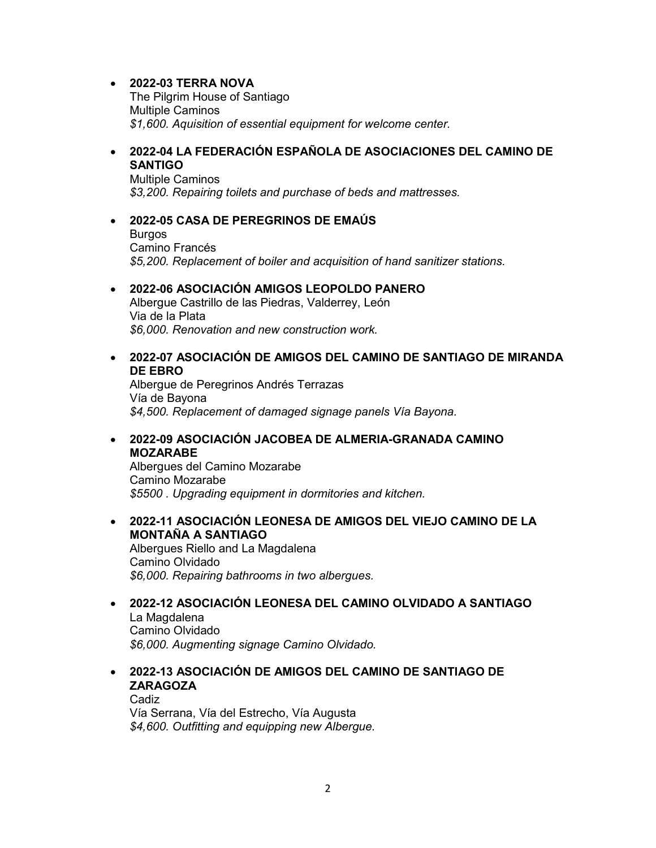## 2022-03 TERRA NOVA

The Pilgrim House of Santiago Multiple Caminos \$1,600. Aquisition of essential equipment for welcome center.

## 2022-04 LA FEDERACIÓN ESPAÑOLA DE ASOCIACIONES DEL CAMINO DE **SANTIGO**

Multiple Caminos \$3,200. Repairing toilets and purchase of beds and mattresses.

#### 2022-05 CASA DE PEREGRINOS DE EMAÚS Burgos Camino Francés \$5,200. Replacement of boiler and acquisition of hand sanitizer stations.

## 2022-06 ASOCIACIÓN AMIGOS LEOPOLDO PANERO

Albergue Castrillo de las Piedras, Valderrey, León Via de la Plata \$6,000. Renovation and new construction work.

## 2022-07 ASOCIACIÓN DE AMIGOS DEL CAMINO DE SANTIAGO DE MIRANDA DE EBRO

Albergue de Peregrinos Andrés Terrazas Vía de Bayona \$4,500. Replacement of damaged signage panels Vía Bayona.

## 2022-09 ASOCIACIÓN JACOBEA DE ALMERIA-GRANADA CAMINO MOZARABE

Albergues del Camino Mozarabe Camino Mozarabe \$5500 . Upgrading equipment in dormitories and kitchen.

## 2022-11 ASOCIACIÓN LEONESA DE AMIGOS DEL VIEJO CAMINO DE LA MONTAÑA A SANTIAGO

Albergues Riello and La Magdalena Camino Olvidado \$6,000. Repairing bathrooms in two albergues.

#### 2022-12 ASOCIACIÓN LEONESA DEL CAMINO OLVIDADO A SANTIAGO La Magdalena Camino Olvidado

\$6,000. Augmenting signage Camino Olvidado.

## 2022-13 ASOCIACIÓN DE AMIGOS DEL CAMINO DE SANTIAGO DE ZARAGOZA Cadiz

Vía Serrana, Vía del Estrecho, Vía Augusta \$4,600. Outfitting and equipping new Albergue.